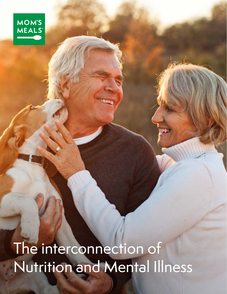

The interconnection of Nutrition and Mental Illness

1 THE INTERCONNECTION OF NUTRITION OF NUTRITION AND MENTAL INC.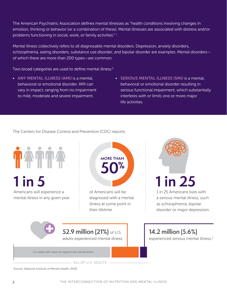The American Psychiatric Association defines mental illnesses as "health conditions involving changes in emotion, thinking or behavior (or a combination of these). Mental illnesses are associated with distress and/or problems functioning in social, work, or family activities." <sup>1</sup>

Mental illness collectively refers to all diagnosable mental disorders. Depression, anxiety disorders, schizophrenia, eating disorders, substance use disorder, and bipolar disorder are examples. Mental disorders of which there are more than 200 types—are common.

Two broad categories are used to define mental illness:<sup>2</sup>

- ANY MENTAL ILLNESS (AMI) is a mental, behavioral or emotional disorder. AMI can vary in impact, ranging from no impairment to mild, moderate and severe impairment.
- SERIOUS MENTAL ILLNESS (SMI) is a mental, behavioral or emotional disorder resulting in serious functional impairment, which substantially interferes with or limits one or more major life activities.

The Centers for Disease Control and Prevention (CDC) reports:



*Source: National Institute of Mental Health, 2020*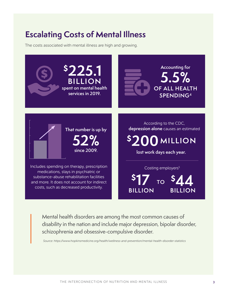## **Escalating Costs of Mental Illness**

The costs associated with mental illness are high and growing.



Mental health disorders are among the most common causes of disability in the nation and include major depression, bipolar disorder, schizophrenia and obsessive-compulsive disorder.

*Source: https://www.hopkinsmedicine.org/health/wellness-and-prevention/mental-health-disorder-statistics*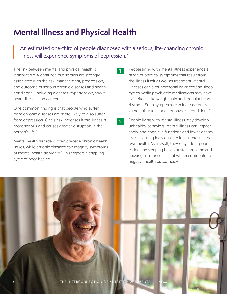## **Mental Illness and Physical Health**

An estimated one-third of people diagnosed with a serious, life-changing chronic illness will experience symptoms of depression.7

The link between mental and physical health is indisputable. Mental health disorders are strongly associated with the risk, management, progression, and outcome of serious chronic diseases and health conditions—including diabetes, hypertension, stroke, heart disease, and cancer.

One common finding is that people who suffer from chronic diseases are more likely to also suffer from depression. One's risk increases if the illness is more serious and causes greater disruption in the person's life.<sup>6</sup>

Mental health disorders often precede chronic health issues, while chronic diseases can magnify symptoms of mental health disorders.<sup>8</sup> This triggers a crippling cycle of poor health:

- People living with mental illness experience a range of physical symptoms that result from the illness itself as well as treatment. Mental illnesses can alter hormonal balances and sleep cycles, while psychiatric medications may have side effects like weight gain and irregular heart rhythms. Such symptoms can increase one's vulnerability to a range of physical conditions.<sup>9</sup> **1**
- People living with mental illness may develop unhealthy behaviors. Mental illness can impact social and cognitive functions and lower energy levels, causing individuals to lose interest in their own health. As a result, they may adopt poor eating and sleeping habits or start smoking and abusing substances—all of which contribute to negative health outcomes.<sup>10</sup> **2**

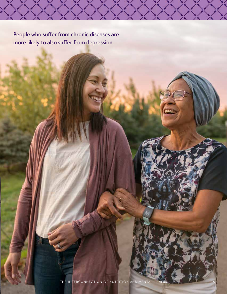**People who suffer from chronic diseases are more likely to also suffer from depression.**

THE INTERCONNECTION OF NUTRITION AND MENTAL ILLNESS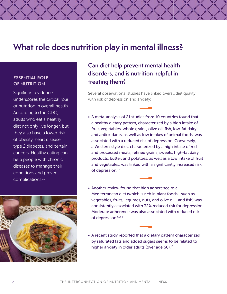#### **What role does nutrition play in mental illness?**

#### **ESSENTIAL ROLE OF NUTRITION**

Significant evidence underscores the critical role of nutrition in overall health. According to the CDC, adults who eat a healthy diet not only live longer, but they also have a lower risk of obesity, heart disease, type 2 diabetes, and certain cancers. Healthy eating can help people with chronic diseases to manage their conditions and prevent complications.<sup>11</sup>



#### **Can diet help prevent mental health disorders, and is nutrition helpful in treating them?**

Several observational studies have linked overall diet quality with risk of depression and anxiety:

- A meta-analysis of 21 studies from 10 countries found that a healthy dietary pattern, characterized by a high intake of fruit, vegetables, whole grains, olive oil, fish, low-fat dairy and antioxidants, as well as low intakes of animal foods, was associated with a reduced risk of depression. Conversely, a Western-style diet, characterized by a high intake of red and processed meats, refined grains, sweets, high-fat dairy products, butter, and potatoes, as well as a low intake of fruit and vegetables, was linked with a significantly increased risk of depression.<sup>12</sup>
- Another review found that high adherence to a Mediterranean diet (which is rich in plant foods—such as vegetables, fruits, legumes, nuts, and olive oil—and fish) was consistently associated with 32% reduced risk for depression. Moderate adherence was also associated with reduced risk of depression.<sup>13,14</sup>
- A recent study reported that a dietary pattern characterized by saturated fats and added sugars seems to be related to higher anxiety in older adults (over age 60).<sup>15</sup>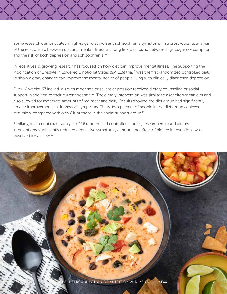Some research demonstrates a high-sugar diet worsens schizophrenia symptoms. In a cross-cultural analysis of the relationship between diet and mental illness, a strong link was found between high sugar consumption and the risk of both depression and schizophrenia.<sup>16,17</sup>

In recent years, growing research has focused on how diet can improve mental illness. The Supporting the Modification of Lifestyle in Lowered Emotional States (SMILES) trial<sup>18</sup> was the first randomized controlled trials to show dietary changes can improve the mental health of people living with clinically diagnosed depression.

Over 12 weeks, 67 individuals with moderate or severe depression received dietary counseling or social support in addition to their current treatment. The dietary intervention was similar to a Mediterranean diet and also allowed for moderate amounts of red meat and dairy. Results showed the diet group had significantly greater improvements in depressive symptoms. Thirty-two percent of people in the diet group achieved remission, compared with only 8% of those in the social support group.<sup>19</sup>

Similarly, in a recent meta-analysis of 16 randomized controlled studies, researchers found dietary interventions significantly reduced depressive symptoms, although no effect of dietary interventions was observed for anxiety.20

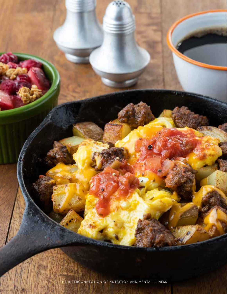THE INTERCONNECTION OF NUTRITION AND MENTAL ILLNESS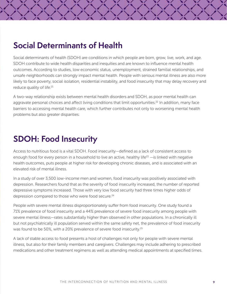### **Social Determinants of Health**

Social determinants of health (SDOH) are conditions in which people are born, grow, live, work, and age. SDOH contribute to wide health disparities and inequities and are known to influence mental health outcomes. According to studies, low economic status, unemployment, strained familial relationships, and unsafe neighborhoods can strongly impact mental health. People with serious mental illness are also more likely to face poverty, social isolation, residential instability, and food insecurity that may delay recovery and reduce quality of life.<sup>21</sup>

A two-way relationship exists between mental health disorders and SDOH, as poor mental health can aggravate personal choices and affect living conditions that limit opportunities.<sup>22</sup> In addition, many face barriers to accessing mental health care, which further contributes not only to worsening mental health problems but also greater disparities.

## **SDOH: Food Insecurity**

Access to nutritious food is a vital SDOH. Food insecurity—defined as a lack of consistent access to enough food for every person in a household to live an active, healthy life<sup>23</sup> —is linked with negative health outcomes, puts people at higher risk for developing chronic diseases, and is associated with an elevated risk of mental illness.

In a study of over 3,500 low-income men and women, food insecurity was positively associated with depression. Researchers found that as the severity of food insecurity increased, the number of reported depressive symptoms increased. Those with very low food security had three times higher odds of depression compared to those who were food secure.<sup>24</sup>

People with severe mental illness disproportionately suffer from food insecurity. One study found a 71% prevalence of food insecurity and a 44% prevalence of severe food insecurity among people with severe mental illness—rates substantially higher than observed in other populations. In a chronically ill but not psychiatrically ill population served within the same safety net, the prevalence of food insecurity was found to be 50%, with a 20% prevalence of severe food insecurity.<sup>25</sup>

A lack of stable access to food presents a host of challenges not only for people with severe mental illness, but also for their family members and caregivers. Challenges may include adhering to prescribed medications and other treatment regimens as well as attending medical appointments at specified times.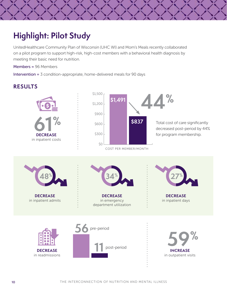

# **Highlight: Pilot Study**

UnitedHealthcare Community Plan of Wisconsin (UHC WI) and Mom's Meals recently collaborated on a pilot program to support high-risk, high-cost members with a behavioral health diagnosis by meeting their basic need for nutrition.

Members = 96 Members

Intervention =  $3$  condition-appropriate, home-delivered meals for 90 days



#### **RESULTS**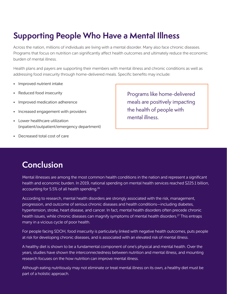# **Supporting People Who Have a Mental Illness**

Across the nation, millions of individuals are living with a mental disorder. Many also face chronic diseases. Programs that focus on nutrition can significantly affect health outcomes and ultimately reduce the economic burden of mental illness.

Health plans and payers are supporting their members with mental illness and chronic conditions as well as addressing food insecurity through home-delivered meals. Specific benefits may include:

- Improved nutrient intake
- Reduced food insecurity
- Improved medication adherence
- Increased engagement with providers
- Lower healthcare utilization (inpatient/outpatient/emergency department)
- Decreased total cost of care

Programs like home-delivered meals are positively impacting the health of people with mental illness.

# **Conclusion**

Mental illnesses are among the most common health conditions in the nation and represent a significant health and economic burden. In 2019, national spending on mental health services reached \$225.1 billion, accounting for 5.5% of all health spending.<sup>26</sup>

According to research, mental health disorders are strongly associated with the risk, management, progression, and outcome of serious chronic diseases and health conditions—including diabetes, hypertension, stroke, heart disease, and cancer. In fact, mental health disorders often precede chronic health issues, while chronic diseases can magnify symptoms of mental health disorders.<sup>27</sup> This entraps many in a vicious cycle of poor health.

For people facing SDOH, food insecurity is particularly linked with negative health outcomes, puts people at risk for developing chronic diseases, and is associated with an elevated risk of mental illness.

A healthy diet is shown to be a fundamental component of one's physical and mental health. Over the years, studies have shown the interconnectedness between nutrition and mental illness, and mounting research focuses on the how nutrition can improve mental illness.

Although eating nutritiously may not eliminate or treat mental illness on its own, a healthy diet must be part of a holistic approach.